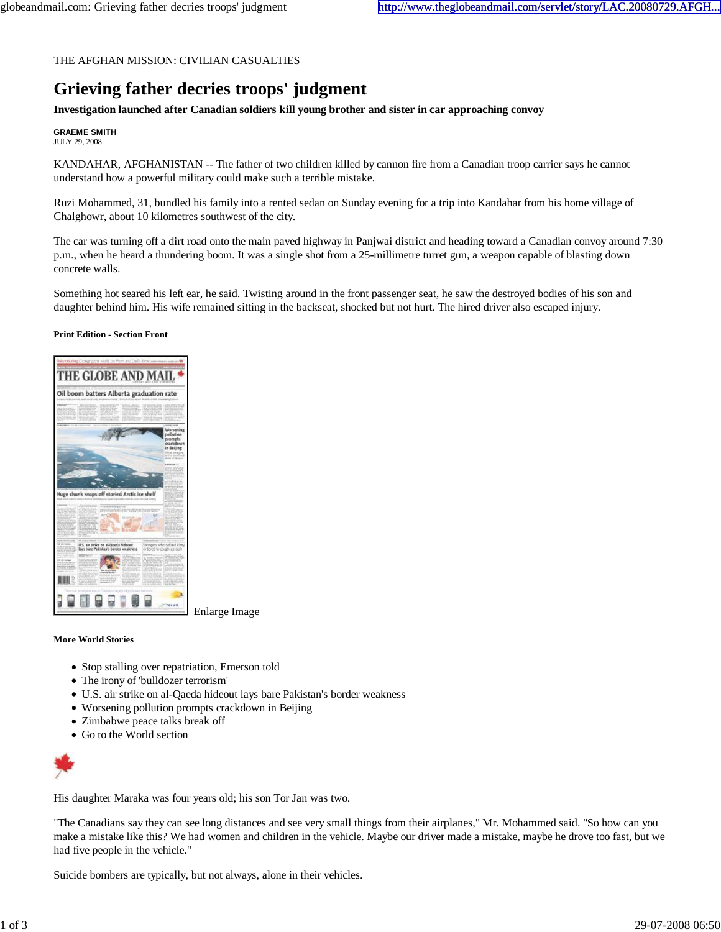## THE AFGHAN MISSION: CIVILIAN CASUALTIES

## **Grieving father decries troops' judgment**

**Investigation launched after Canadian soldiers kill young brother and sister in car approaching convoy**

**GRAEME SMITH** JULY 29, 2008

KANDAHAR, AFGHANISTAN -- The father of two children killed by cannon fire from a Canadian troop carrier says he cannot understand how a powerful military could make such a terrible mistake.

Ruzi Mohammed, 31, bundled his family into a rented sedan on Sunday evening for a trip into Kandahar from his home village of Chalghowr, about 10 kilometres southwest of the city.

The car was turning off a dirt road onto the main paved highway in Panjwai district and heading toward a Canadian convoy around 7:30 p.m., when he heard a thundering boom. It was a single shot from a 25-millimetre turret gun, a weapon capable of blasting down concrete walls.

Something hot seared his left ear, he said. Twisting around in the front passenger seat, he saw the destroyed bodies of his son and daughter behind him. His wife remained sitting in the backseat, shocked but not hurt. The hired driver also escaped injury.

**Print Edition - Section Front**



Enlarge Image

## **More World Stories**

- Stop stalling over repatriation, Emerson told
- The irony of 'bulldozer terrorism'
- U.S. air strike on al-Qaeda hideout lays bare Pakistan's border weakness
- Worsening pollution prompts crackdown in Beijing
- Zimbabwe peace talks break off
- Go to the World section



His daughter Maraka was four years old; his son Tor Jan was two.

"The Canadians say they can see long distances and see very small things from their airplanes," Mr. Mohammed said. "So how can you make a mistake like this? We had women and children in the vehicle. Maybe our driver made a mistake, maybe he drove too fast, but we had five people in the vehicle."

Suicide bombers are typically, but not always, alone in their vehicles.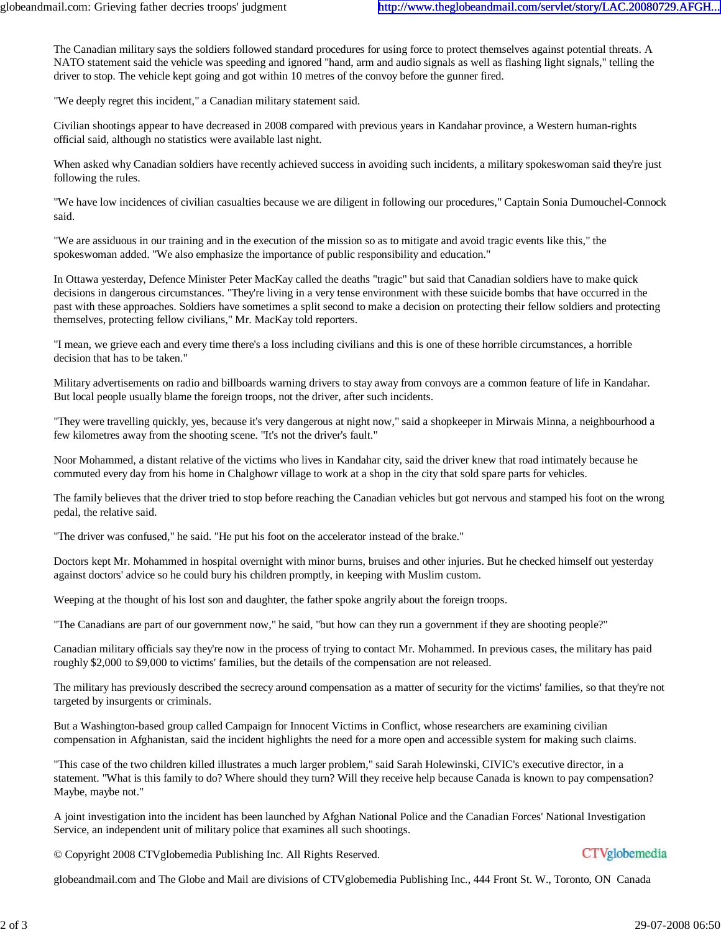The Canadian military says the soldiers followed standard procedures for using force to protect themselves against potential threats. A NATO statement said the vehicle was speeding and ignored "hand, arm and audio signals as well as flashing light signals," telling the driver to stop. The vehicle kept going and got within 10 metres of the convoy before the gunner fired.

"We deeply regret this incident," a Canadian military statement said.

Civilian shootings appear to have decreased in 2008 compared with previous years in Kandahar province, a Western human-rights official said, although no statistics were available last night.

When asked why Canadian soldiers have recently achieved success in avoiding such incidents, a military spokeswoman said they're just following the rules.

"We have low incidences of civilian casualties because we are diligent in following our procedures," Captain Sonia Dumouchel-Connock said.

"We are assiduous in our training and in the execution of the mission so as to mitigate and avoid tragic events like this," the spokeswoman added. "We also emphasize the importance of public responsibility and education."

In Ottawa yesterday, Defence Minister Peter MacKay called the deaths "tragic" but said that Canadian soldiers have to make quick decisions in dangerous circumstances. "They're living in a very tense environment with these suicide bombs that have occurred in the past with these approaches. Soldiers have sometimes a split second to make a decision on protecting their fellow soldiers and protecting themselves, protecting fellow civilians," Mr. MacKay told reporters.

"I mean, we grieve each and every time there's a loss including civilians and this is one of these horrible circumstances, a horrible decision that has to be taken."

Military advertisements on radio and billboards warning drivers to stay away from convoys are a common feature of life in Kandahar. But local people usually blame the foreign troops, not the driver, after such incidents.

"They were travelling quickly, yes, because it's very dangerous at night now," said a shopkeeper in Mirwais Minna, a neighbourhood a few kilometres away from the shooting scene. "It's not the driver's fault."

Noor Mohammed, a distant relative of the victims who lives in Kandahar city, said the driver knew that road intimately because he commuted every day from his home in Chalghowr village to work at a shop in the city that sold spare parts for vehicles.

The family believes that the driver tried to stop before reaching the Canadian vehicles but got nervous and stamped his foot on the wrong pedal, the relative said.

"The driver was confused," he said. "He put his foot on the accelerator instead of the brake."

Doctors kept Mr. Mohammed in hospital overnight with minor burns, bruises and other injuries. But he checked himself out yesterday against doctors' advice so he could bury his children promptly, in keeping with Muslim custom.

Weeping at the thought of his lost son and daughter, the father spoke angrily about the foreign troops.

"The Canadians are part of our government now," he said, "but how can they run a government if they are shooting people?"

Canadian military officials say they're now in the process of trying to contact Mr. Mohammed. In previous cases, the military has paid roughly \$2,000 to \$9,000 to victims' families, but the details of the compensation are not released.

The military has previously described the secrecy around compensation as a matter of security for the victims' families, so that they're not targeted by insurgents or criminals.

But a Washington-based group called Campaign for Innocent Victims in Conflict, whose researchers are examining civilian compensation in Afghanistan, said the incident highlights the need for a more open and accessible system for making such claims.

"This case of the two children killed illustrates a much larger problem," said Sarah Holewinski, CIVIC's executive director, in a statement. "What is this family to do? Where should they turn? Will they receive help because Canada is known to pay compensation? Maybe, maybe not."

A joint investigation into the incident has been launched by Afghan National Police and the Canadian Forces' National Investigation Service, an independent unit of military police that examines all such shootings.

© Copyright 2008 CTVglobemedia Publishing Inc. All Rights Reserved.

## **CTVglobemedia**

globeandmail.com and The Globe and Mail are divisions of CTVglobemedia Publishing Inc., 444 Front St. W., Toronto, ON Canada